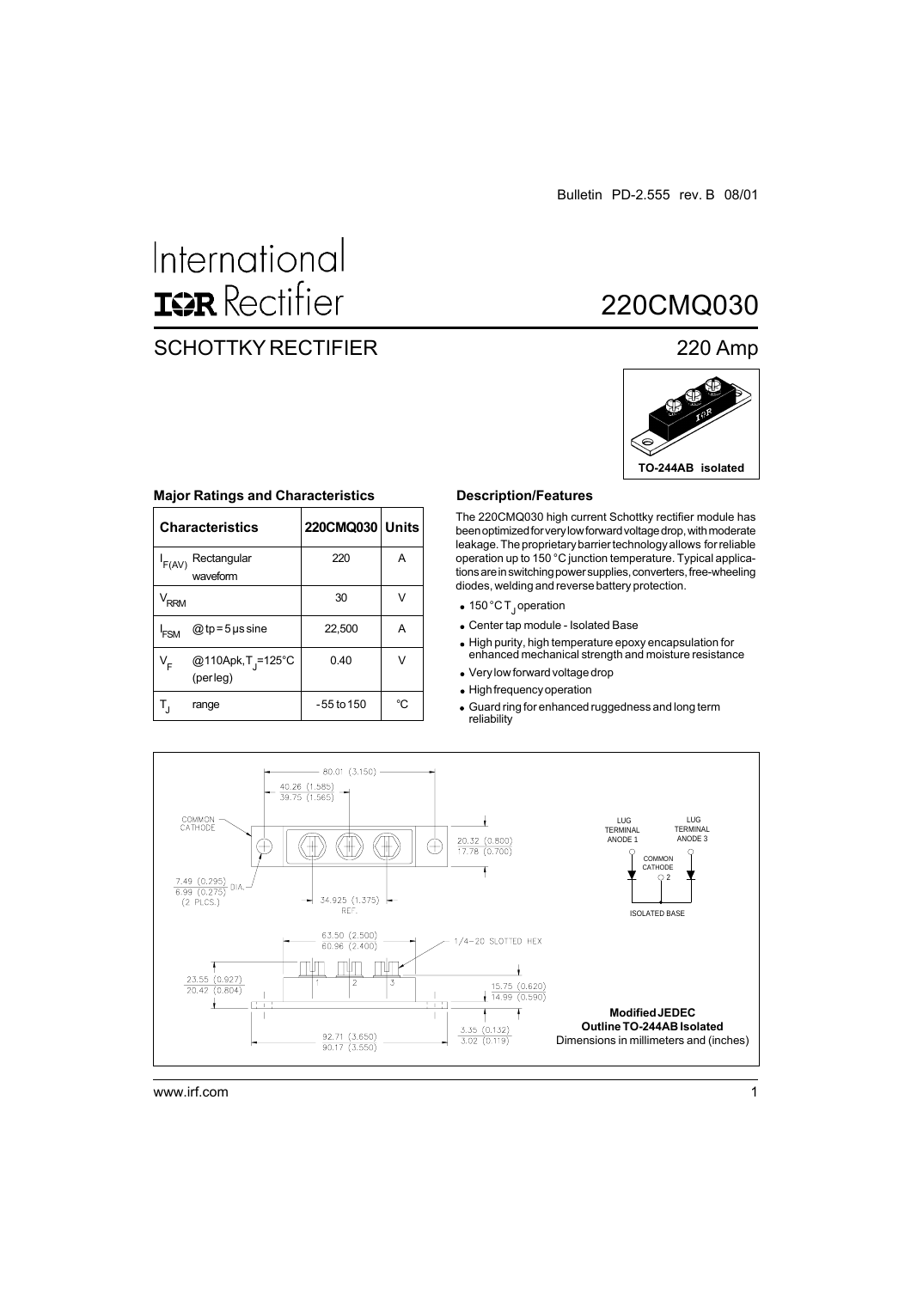# International **ISR** Rectifier

### SCHOTTKY RECTIFIER 220 Amp

### 220CMQ030



|                  | <b>Characteristics</b>                     | 220CMQ030 Units |    |
|------------------|--------------------------------------------|-----------------|----|
| $I_{F(AV)}$      | Rectangular<br>waveform                    | 220             | Α  |
| $V_{RRM}$        |                                            | 30              | V  |
| <sup>I</sup> FSM | $@tp = 5$ µs sine                          | 22,500          | Α  |
| V <sub>F</sub>   | @110Apk, T <sub>j</sub> =125°C<br>(perleg) | 0.40            | V  |
| $T_{\rm J}$      | range                                      | -55 to 150      | °C |

#### **Major Ratings and Characteristics**

#### **Description/Features**

The 220CMQ030 high current Schottky rectifier module has been optimized for very low forward voltage drop, with moderate leakage. The proprietary barrier technology allows for reliable operation up to 150 °C junction temperature. Typical applications are in switching power supplies, converters, free-wheeling diodes, welding and reverse battery protection.

- 150 °C T<sub>J</sub>operation
- Center tap module Isolated Base
- High purity, high temperature epoxy encapsulation for enhanced mechanical strength and moisture resistance
- Very low forward voltage drop
- High frequency operation
- Guard ring for enhanced ruggedness and long term reliability

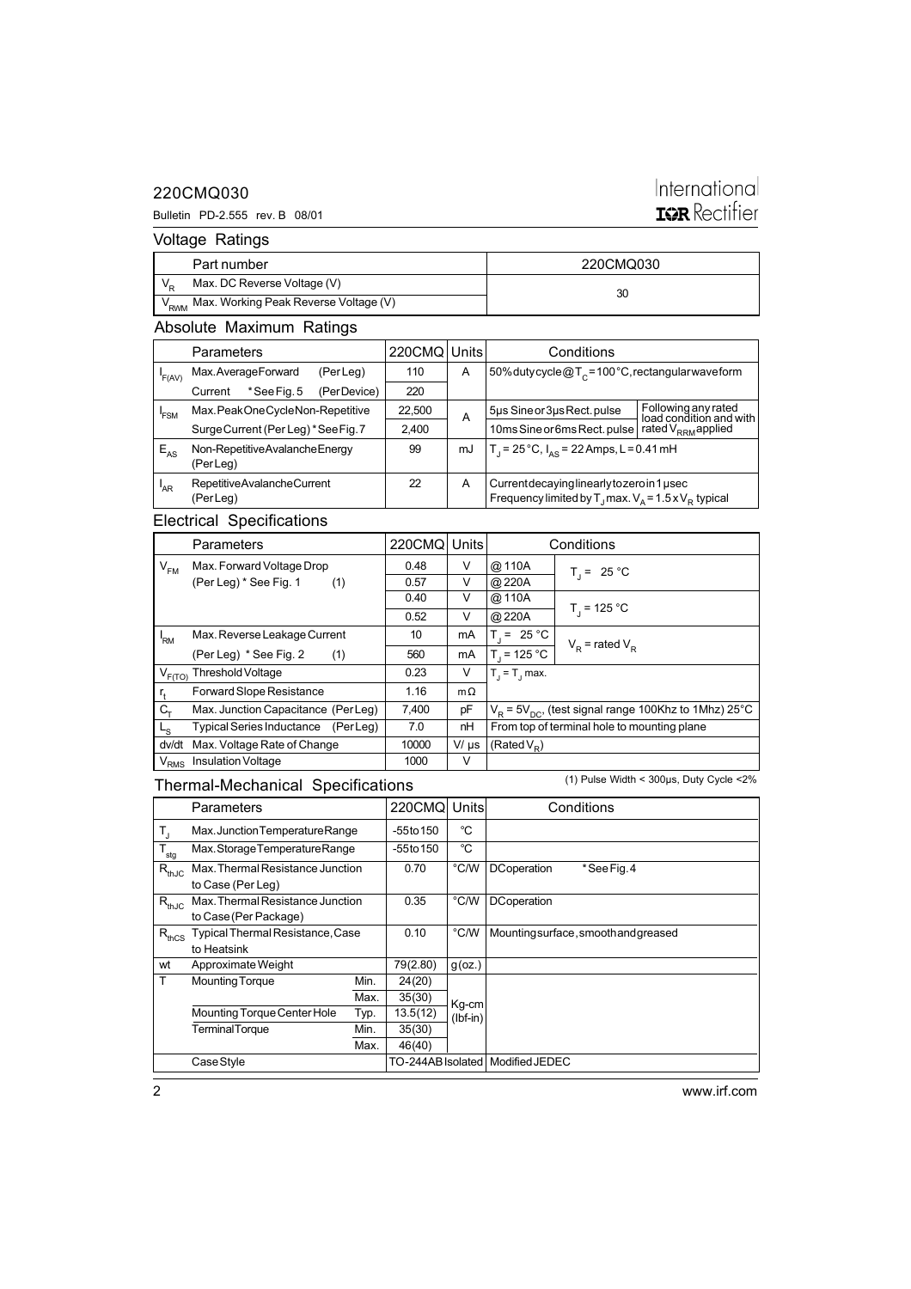### 220CMQ030

#### Bulletin PD-2.555 rev. B 08/01

### International **IQR** Rectifier

Voltage Ratings

| Part number                                            | 220CMQ030 |  |
|--------------------------------------------------------|-----------|--|
| Max. DC Reverse Voltage (V)                            | 30        |  |
| V <sub>RWM</sub> Max. Working Peak Reverse Voltage (V) |           |  |

### Absolute Maximum Ratings

|                 | <b>Parameters</b>                         |              | 220CMQ Units |    | Conditions                                                                                                             |                                                |
|-----------------|-------------------------------------------|--------------|--------------|----|------------------------------------------------------------------------------------------------------------------------|------------------------------------------------|
| F(AV)           | Max.AverageForward                        | (PerLeg)     | 110          | A  | 50% dutycycle@T <sub>c</sub> =100°C, rectangular waveform                                                              |                                                |
|                 | *See Fig. 5<br>Current                    | (Per Device) | 220          |    |                                                                                                                        |                                                |
| 'FSM            | Max.PeakOneCycleNon-Repetitive            |              | 22,500       | A  | 5µs Sine or 3µs Rect. pulse                                                                                            | Following any rated<br>load condition and with |
|                 | Surge Current (Per Leg) * See Fig. 7      |              | 2.400        |    | 10ms Sine or 6ms Rect. pulse                                                                                           | rated $V_{RRM}$ applied                        |
| $E_{AS}$        | Non-RepetitiveAvalancheEnergy<br>(PerLeg) |              | 99           | mJ | T <sub>1</sub> = 25 °C, $I_{AS}$ = 22 Amps, L = 0.41 mH                                                                |                                                |
| <sup>'</sup> AR | Repetitive Avalanche Current<br>(PerLeg)  |              | 22           | A  | Current decaying linearly to zero in 1 used<br>Frequency limited by T <sub>1</sub> max. $V_a = 1.5 \times V_B$ typical |                                                |

### Electrical Specifications

|                            | <b>Parameters</b>                   |  | 220CMQ | Units     |                                             | Conditions                                                |
|----------------------------|-------------------------------------|--|--------|-----------|---------------------------------------------|-----------------------------------------------------------|
| $\mathsf{V}_{\mathsf{FM}}$ | Max. Forward Voltage Drop           |  | 0.48   | V         | @ 110A                                      | $T_i = 25 °C$                                             |
|                            | (Per Leg) * See Fig. 1<br>(1)       |  | 0.57   | V         | @220A                                       |                                                           |
|                            |                                     |  | 0.40   | V         | @ 110A                                      |                                                           |
|                            |                                     |  | 0.52   | V         | @220A                                       | $T_1 = 125 °C$                                            |
| 'RM                        | Max. Reverse Leakage Current        |  | 10     | mA        | $T = 25 °C$                                 | $V_p$ = rated $V_p$                                       |
|                            | (Per Leg) * See Fig. 2<br>(1)       |  | 560    | mA        | $T_{1}$ = 125 °C                            |                                                           |
| $V_{F(TO)}$                | Threshold Voltage                   |  | 0.23   | V         | $T_i = T_i$ max.                            |                                                           |
|                            | Forward Slope Resistance            |  | 1.16   | $m\Omega$ |                                             |                                                           |
| C <sub>τ</sub>             | Max. Junction Capacitance (PerLeg)  |  | 7,400  | рF        |                                             | $V_p = 5V_{pQ}$ , (test signal range 100Khz to 1Mhz) 25°C |
| L <sub>S</sub>             | Typical Series Inductance (Per Leg) |  | 7.0    | nH        | From top of terminal hole to mounting plane |                                                           |
| dv/dt                      | Max. Voltage Rate of Change         |  | 10000  | $V/\mu s$ | $(RatedV_R)$                                |                                                           |
| $\rm V_{RMS}$              | Insulation Voltage                  |  | 1000   | V         |                                             |                                                           |

### Thermal-Mechanical Specifications

(1) Pulse Width < 300µs, Duty Cycle <2%

|                  | Parameters                       |      | <b>220CMQ</b> | Units                              | Conditions                          |
|------------------|----------------------------------|------|---------------|------------------------------------|-------------------------------------|
| T,               | Max. Junction Temperature Range  |      | -55to 150     | °C                                 |                                     |
| $T_{\text{sig}}$ | Max. Storage Temperature Range   |      | $-55$ to 150  | °C                                 |                                     |
| $R_{thJC}$       | Max. Thermal Resistance Junction |      | 0.70          | °C/W                               | *SeeFig.4<br><b>DCoperation</b>     |
|                  | to Case (Per Leg)                |      |               |                                    |                                     |
| $R_{thJC}$       | Max. Thermal Resistance Junction |      | 0.35          | °C/W                               | <b>DCoperation</b>                  |
|                  | to Case (Per Package)            |      |               |                                    |                                     |
| $R_{thCS}$       | Typical Thermal Resistance, Case |      | 0.10          | °C/W                               | Mountingsurface, smooth and greased |
|                  | to Heatsink                      |      |               |                                    |                                     |
| wt               | Approximate Weight               |      | 79(2.80)      | $g$ (oz.)                          |                                     |
| т                | <b>Mounting Torque</b>           | Min. | 24(20)        |                                    |                                     |
|                  | Max.                             |      | 35(30)        | Kg-cm                              |                                     |
|                  | Mounting Torque Center Hole      | Typ. | 13.5(12)      | $(lbf-in)$                         |                                     |
|                  | <b>TerminalTorque</b>            | Min. | 35(30)        |                                    |                                     |
|                  |                                  | Max. | 46(40)        |                                    |                                     |
|                  | Case Style                       |      |               | TO-244AB Isolated   Modified JEDEC |                                     |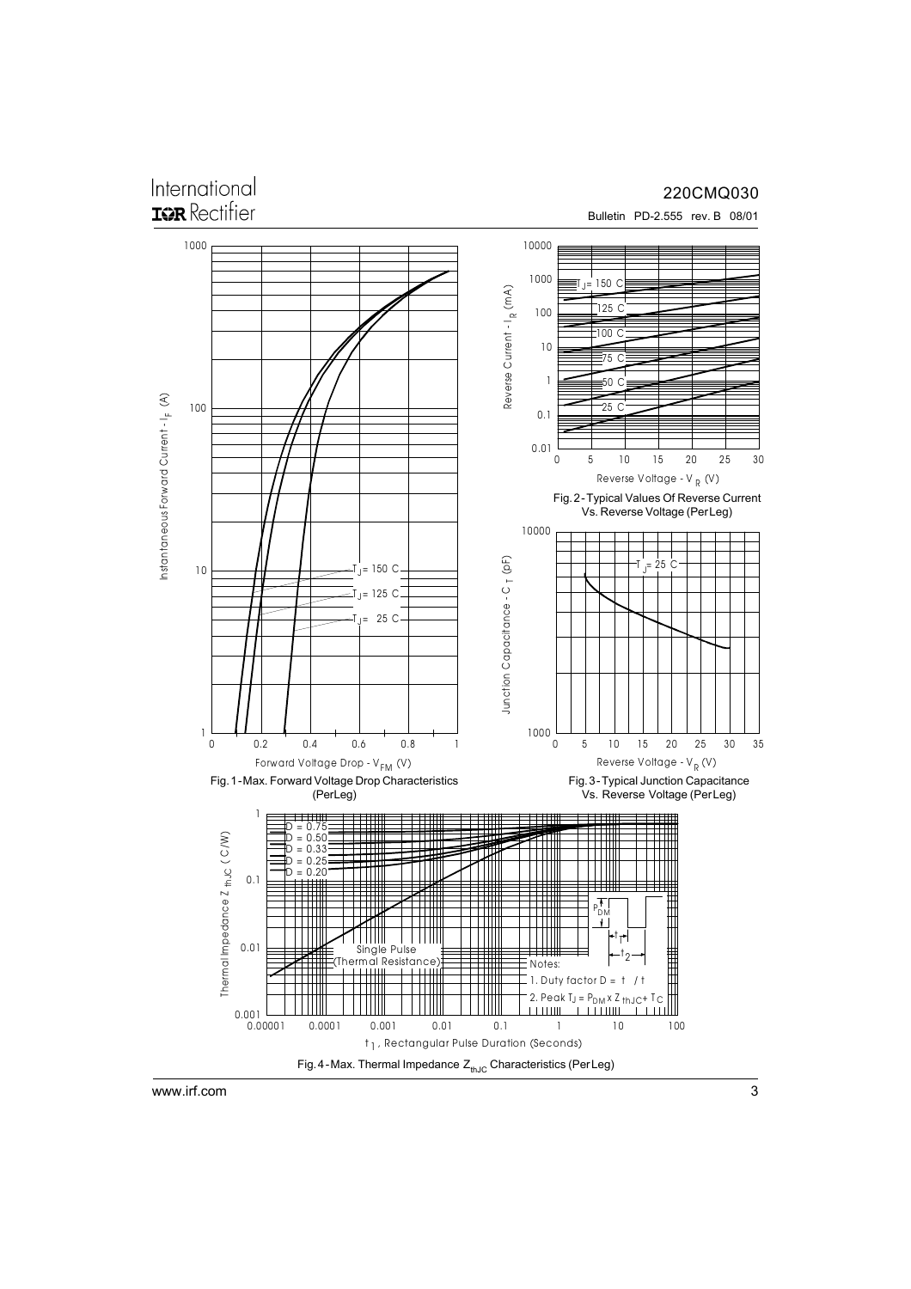## International

#### 220CMQ030

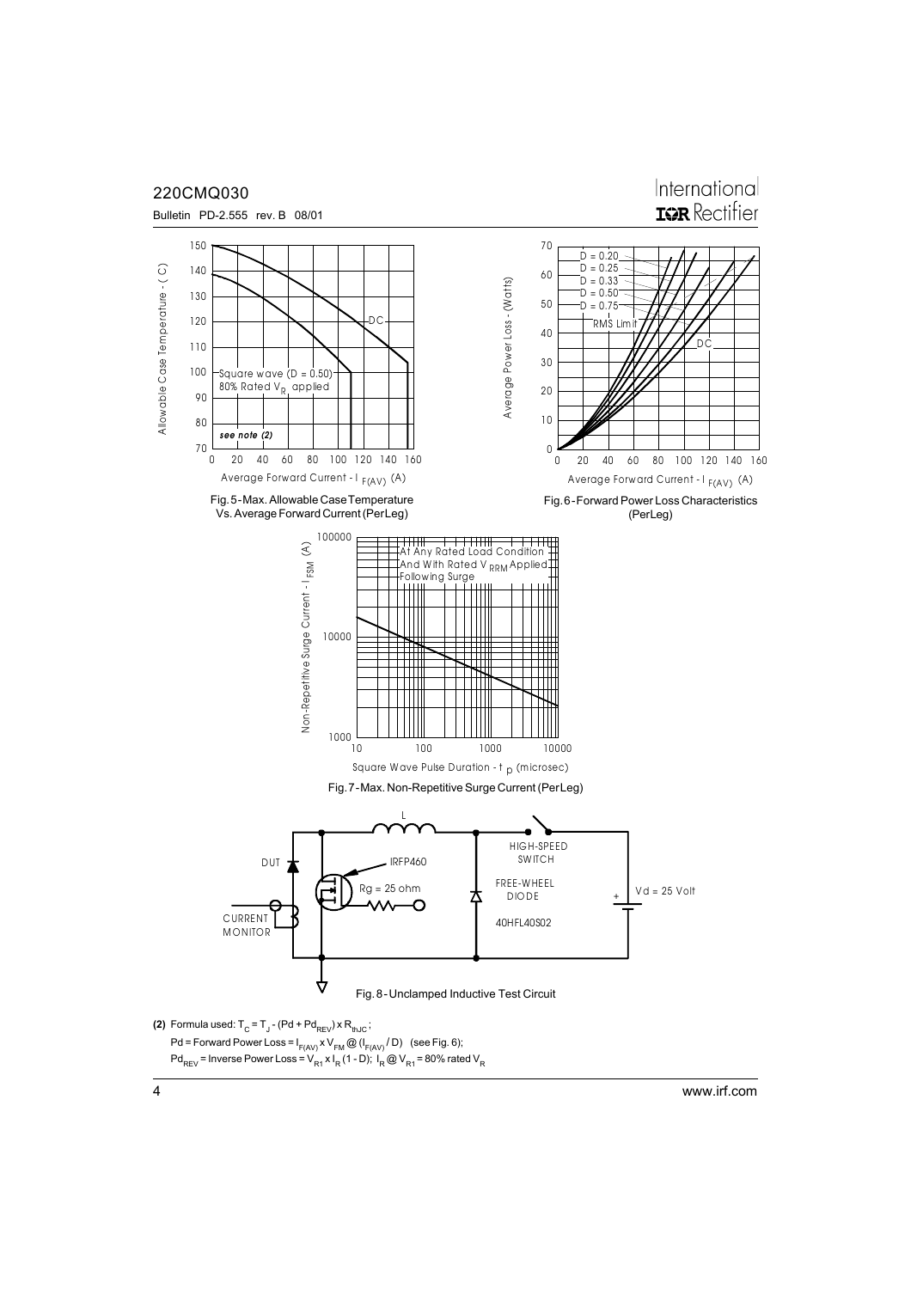

Pd<sub>REV</sub> = Inverse Power Loss = V<sub>R1</sub> x I<sub>R</sub> (1 - D); I<sub>R</sub> @ V<sub>R1</sub> = 80% rated V<sub>R</sub>